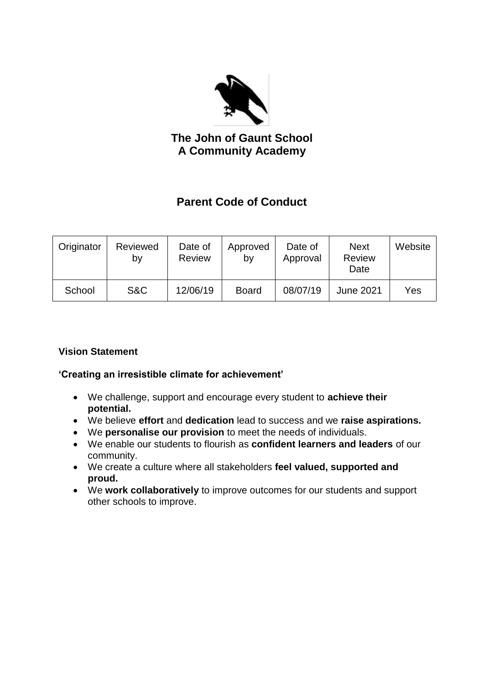

**The John of Gaunt School A Community Academy**

# **Parent Code of Conduct**

| Originator | Reviewed<br>by | Date of<br><b>Review</b> | Approved<br>by | Date of<br>Approval | <b>Next</b><br><b>Review</b><br>Date | Website |
|------------|----------------|--------------------------|----------------|---------------------|--------------------------------------|---------|
| School     | S&C            | 12/06/19                 | <b>Board</b>   | 08/07/19            | <b>June 2021</b>                     | Yes     |

## **Vision Statement**

## **'Creating an irresistible climate for achievement'**

- We challenge, support and encourage every student to **achieve their potential.**
- We believe **effort** and **dedication** lead to success and we **raise aspirations.**
- We **personalise our provision** to meet the needs of individuals.
- We enable our students to flourish as **confident learners and leaders** of our community.
- We create a culture where all stakeholders **feel valued, supported and proud.**
- We **work collaboratively** to improve outcomes for our students and support other schools to improve.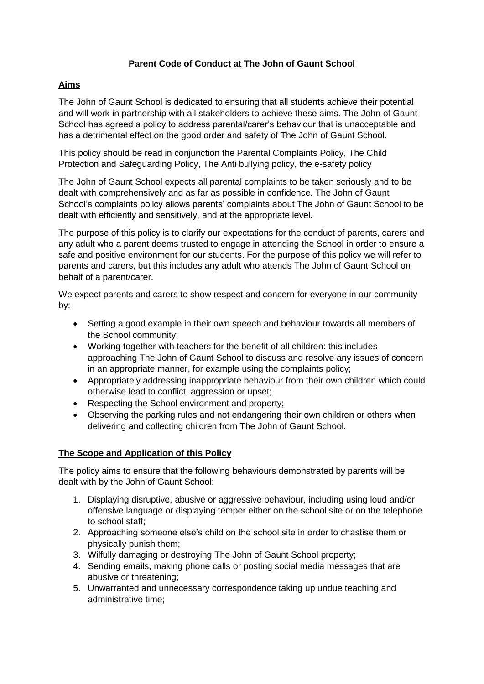### **Parent Code of Conduct at The John of Gaunt School**

## **Aims**

The John of Gaunt School is dedicated to ensuring that all students achieve their potential and will work in partnership with all stakeholders to achieve these aims. The John of Gaunt School has agreed a policy to address parental/carer's behaviour that is unacceptable and has a detrimental effect on the good order and safety of The John of Gaunt School.

This policy should be read in conjunction the Parental Complaints Policy, The Child Protection and Safeguarding Policy, The Anti bullying policy, the e-safety policy

The John of Gaunt School expects all parental complaints to be taken seriously and to be dealt with comprehensively and as far as possible in confidence. The John of Gaunt School's complaints policy allows parents' complaints about The John of Gaunt School to be dealt with efficiently and sensitively, and at the appropriate level.

The purpose of this policy is to clarify our expectations for the conduct of parents, carers and any adult who a parent deems trusted to engage in attending the School in order to ensure a safe and positive environment for our students. For the purpose of this policy we will refer to parents and carers, but this includes any adult who attends The John of Gaunt School on behalf of a parent/carer.

We expect parents and carers to show respect and concern for everyone in our community by:

- Setting a good example in their own speech and behaviour towards all members of the School community;
- Working together with teachers for the benefit of all children: this includes approaching The John of Gaunt School to discuss and resolve any issues of concern in an appropriate manner, for example using the complaints policy;
- Appropriately addressing inappropriate behaviour from their own children which could otherwise lead to conflict, aggression or upset;
- Respecting the School environment and property;
- Observing the parking rules and not endangering their own children or others when delivering and collecting children from The John of Gaunt School.

## **The Scope and Application of this Policy**

The policy aims to ensure that the following behaviours demonstrated by parents will be dealt with by the John of Gaunt School:

- 1. Displaying disruptive, abusive or aggressive behaviour, including using loud and/or offensive language or displaying temper either on the school site or on the telephone to school staff;
- 2. Approaching someone else's child on the school site in order to chastise them or physically punish them;
- 3. Wilfully damaging or destroying The John of Gaunt School property;
- 4. Sending emails, making phone calls or posting social media messages that are abusive or threatening;
- 5. Unwarranted and unnecessary correspondence taking up undue teaching and administrative time;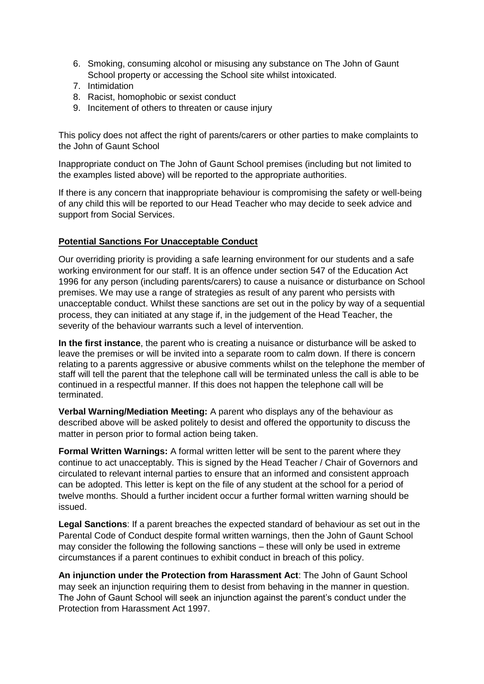- 6. Smoking, consuming alcohol or misusing any substance on The John of Gaunt School property or accessing the School site whilst intoxicated.
- 7. Intimidation
- 8. Racist, homophobic or sexist conduct
- 9. Incitement of others to threaten or cause injury

This policy does not affect the right of parents/carers or other parties to make complaints to the John of Gaunt School

Inappropriate conduct on The John of Gaunt School premises (including but not limited to the examples listed above) will be reported to the appropriate authorities.

If there is any concern that inappropriate behaviour is compromising the safety or well-being of any child this will be reported to our Head Teacher who may decide to seek advice and support from Social Services.

#### **Potential Sanctions For Unacceptable Conduct**

Our overriding priority is providing a safe learning environment for our students and a safe working environment for our staff. It is an offence under section 547 of the Education Act 1996 for any person (including parents/carers) to cause a nuisance or disturbance on School premises. We may use a range of strategies as result of any parent who persists with unacceptable conduct. Whilst these sanctions are set out in the policy by way of a sequential process, they can initiated at any stage if, in the judgement of the Head Teacher, the severity of the behaviour warrants such a level of intervention.

**In the first instance**, the parent who is creating a nuisance or disturbance will be asked to leave the premises or will be invited into a separate room to calm down. If there is concern relating to a parents aggressive or abusive comments whilst on the telephone the member of staff will tell the parent that the telephone call will be terminated unless the call is able to be continued in a respectful manner. If this does not happen the telephone call will be terminated.

**Verbal Warning/Mediation Meeting:** A parent who displays any of the behaviour as described above will be asked politely to desist and offered the opportunity to discuss the matter in person prior to formal action being taken.

**Formal Written Warnings:** A formal written letter will be sent to the parent where they continue to act unacceptably. This is signed by the Head Teacher / Chair of Governors and circulated to relevant internal parties to ensure that an informed and consistent approach can be adopted. This letter is kept on the file of any student at the school for a period of twelve months. Should a further incident occur a further formal written warning should be issued.

**Legal Sanctions**: If a parent breaches the expected standard of behaviour as set out in the Parental Code of Conduct despite formal written warnings, then the John of Gaunt School may consider the following the following sanctions – these will only be used in extreme circumstances if a parent continues to exhibit conduct in breach of this policy.

**An injunction under the Protection from Harassment Act**: The John of Gaunt School may seek an injunction requiring them to desist from behaving in the manner in question. The John of Gaunt School will seek an injunction against the parent's conduct under the Protection from Harassment Act 1997.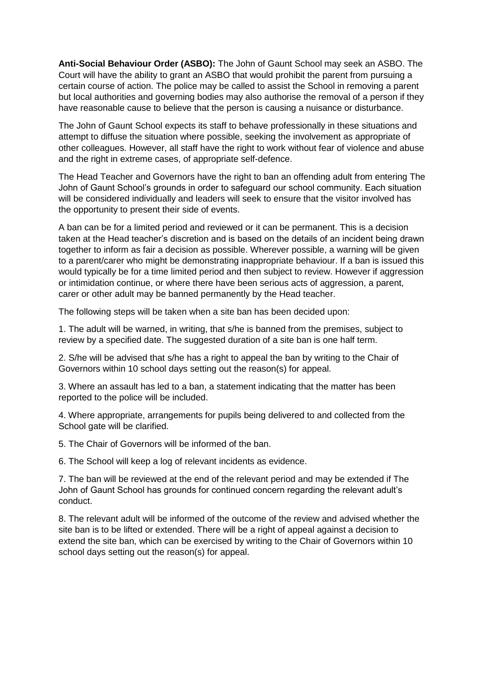**Anti-Social Behaviour Order (ASBO):** The John of Gaunt School may seek an ASBO. The Court will have the ability to grant an ASBO that would prohibit the parent from pursuing a certain course of action. The police may be called to assist the School in removing a parent but local authorities and governing bodies may also authorise the removal of a person if they have reasonable cause to believe that the person is causing a nuisance or disturbance.

The John of Gaunt School expects its staff to behave professionally in these situations and attempt to diffuse the situation where possible, seeking the involvement as appropriate of other colleagues. However, all staff have the right to work without fear of violence and abuse and the right in extreme cases, of appropriate self-defence.

The Head Teacher and Governors have the right to ban an offending adult from entering The John of Gaunt School's grounds in order to safeguard our school community. Each situation will be considered individually and leaders will seek to ensure that the visitor involved has the opportunity to present their side of events.

A ban can be for a limited period and reviewed or it can be permanent. This is a decision taken at the Head teacher's discretion and is based on the details of an incident being drawn together to inform as fair a decision as possible. Wherever possible, a warning will be given to a parent/carer who might be demonstrating inappropriate behaviour. If a ban is issued this would typically be for a time limited period and then subject to review. However if aggression or intimidation continue, or where there have been serious acts of aggression, a parent, carer or other adult may be banned permanently by the Head teacher.

The following steps will be taken when a site ban has been decided upon:

1. The adult will be warned, in writing, that s/he is banned from the premises, subject to review by a specified date. The suggested duration of a site ban is one half term.

2. S/he will be advised that s/he has a right to appeal the ban by writing to the Chair of Governors within 10 school days setting out the reason(s) for appeal.

3. Where an assault has led to a ban, a statement indicating that the matter has been reported to the police will be included.

4. Where appropriate, arrangements for pupils being delivered to and collected from the School gate will be clarified.

5. The Chair of Governors will be informed of the ban.

6. The School will keep a log of relevant incidents as evidence.

7. The ban will be reviewed at the end of the relevant period and may be extended if The John of Gaunt School has grounds for continued concern regarding the relevant adult's conduct.

8. The relevant adult will be informed of the outcome of the review and advised whether the site ban is to be lifted or extended. There will be a right of appeal against a decision to extend the site ban, which can be exercised by writing to the Chair of Governors within 10 school days setting out the reason(s) for appeal.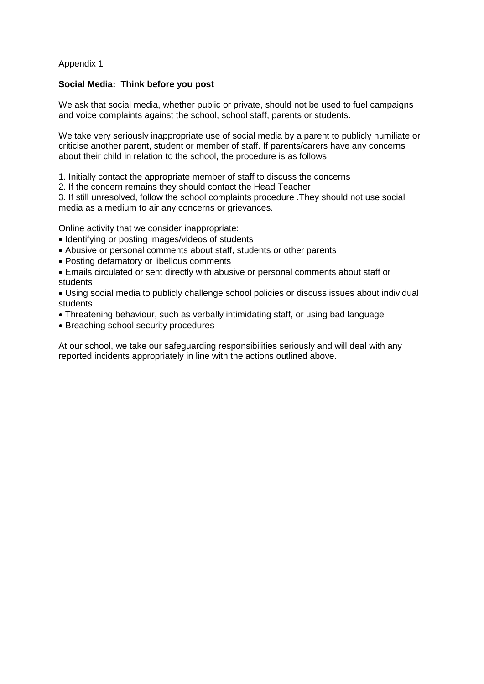#### Appendix 1

#### **Social Media: Think before you post**

We ask that social media, whether public or private, should not be used to fuel campaigns and voice complaints against the school, school staff, parents or students.

We take very seriously inappropriate use of social media by a parent to publicly humiliate or criticise another parent, student or member of staff. If parents/carers have any concerns about their child in relation to the school, the procedure is as follows:

1. Initially contact the appropriate member of staff to discuss the concerns

2. If the concern remains they should contact the Head Teacher

3. If still unresolved, follow the school complaints procedure .They should not use social media as a medium to air any concerns or grievances.

Online activity that we consider inappropriate:

- Identifying or posting images/videos of students
- Abusive or personal comments about staff, students or other parents
- Posting defamatory or libellous comments
- Emails circulated or sent directly with abusive or personal comments about staff or students

 Using social media to publicly challenge school policies or discuss issues about individual students

- Threatening behaviour, such as verbally intimidating staff, or using bad language
- Breaching school security procedures

At our school, we take our safeguarding responsibilities seriously and will deal with any reported incidents appropriately in line with the actions outlined above.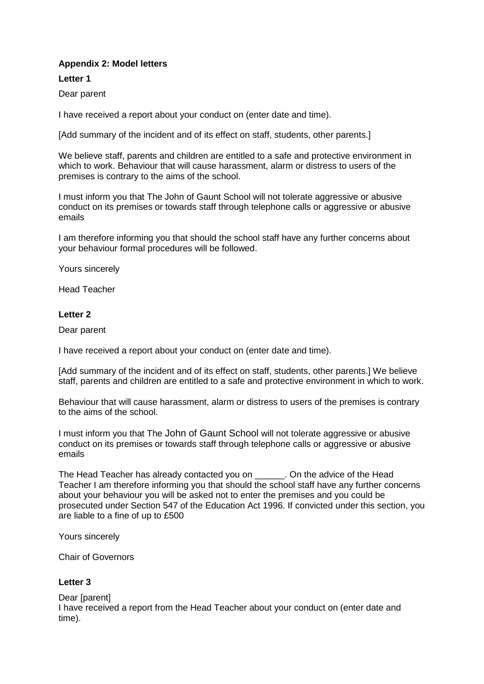### **Appendix 2: Model letters**

#### **Letter 1**

Dear parent

I have received a report about your conduct on (enter date and time).

[Add summary of the incident and of its effect on staff, students, other parents.]

We believe staff, parents and children are entitled to a safe and protective environment in which to work. Behaviour that will cause harassment, alarm or distress to users of the premises is contrary to the aims of the school.

I must inform you that The John of Gaunt School will not tolerate aggressive or abusive conduct on its premises or towards staff through telephone calls or aggressive or abusive emails

I am therefore informing you that should the school staff have any further concerns about your behaviour formal procedures will be followed.

Yours sincerely

Head Teacher

#### **Letter 2**

Dear parent

I have received a report about your conduct on (enter date and time).

[Add summary of the incident and of its effect on staff, students, other parents.] We believe staff, parents and children are entitled to a safe and protective environment in which to work.

Behaviour that will cause harassment, alarm or distress to users of the premises is contrary to the aims of the school.

I must inform you that The John of Gaunt School will not tolerate aggressive or abusive conduct on its premises or towards staff through telephone calls or aggressive or abusive emails

The Head Teacher has already contacted you on . On the advice of the Head Teacher I am therefore informing you that should the school staff have any further concerns about your behaviour you will be asked not to enter the premises and you could be prosecuted under Section 547 of the Education Act 1996. If convicted under this section, you are liable to a fine of up to £500

Yours sincerely

Chair of Governors

#### **Letter 3**

#### Dear [parent]

I have received a report from the Head Teacher about your conduct on (enter date and time).